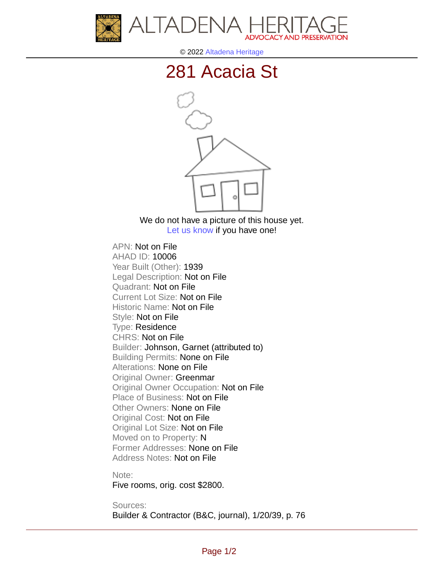



© 2022 [Altadena Heritage](http://altadenaheritage.org/)

## [281 Acacia St](ahad.altadenaheritagepdb.org/properties/10006)



We do not have a picture of this house yet. [Let us know](http://altadenaheritage.org/contact-us/) if you have one!

APN: Not on File [AHAD ID: 10006](ahad.altadenaheritagepdb.org/properties/10006) Year Built (Other): 1939 Legal Description: Not on File Quadrant: Not on File Current Lot Size: Not on File Historic Name: Not on File Style: Not on File Type: Residence CHRS: Not on File Builder: Johnson, Garnet (attributed to) Building Permits: None on File Alterations: None on File Original Owner: Greenmar Original Owner Occupation: Not on File Place of Business: Not on File Other Owners: None on File Original Cost: Not on File Original Lot Size: Not on File Moved on to Property: N Former Addresses: None on File Address Notes: Not on File

Note:

Five rooms, orig. cost \$2800.

Sources:

Builder & Contractor (B&C, journal), 1/20/39, p. 76